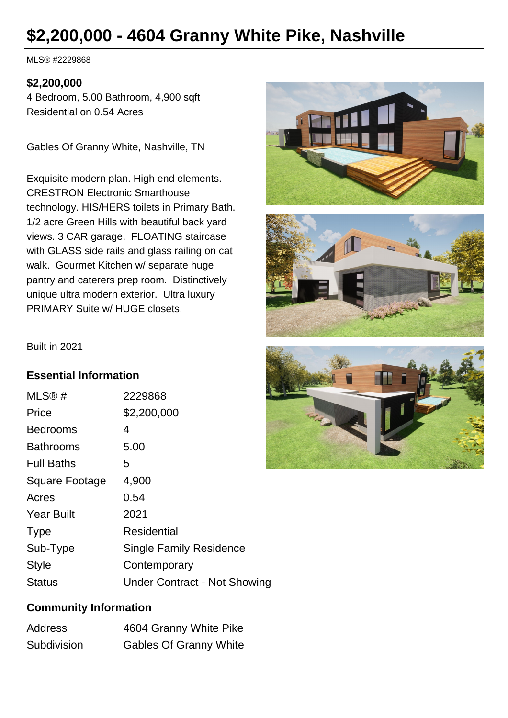# **\$2,200,000 - 4604 Granny White Pike, Nashville**

MLS® #2229868

## **\$2,200,000**

4 Bedroom, 5.00 Bathroom, 4,900 sqft Residential on 0.54 Acres

Gables Of Granny White, Nashville, TN

Exquisite modern plan. High end elements. CRESTRON Electronic Smarthouse technology. HIS/HERS toilets in Primary Bath. 1/2 acre Green Hills with beautiful back yard views. 3 CAR garage. FLOATING staircase with GLASS side rails and glass railing on cat walk. Gourmet Kitchen w/ separate huge pantry and caterers prep room. Distinctively unique ultra modern exterior. Ultra luxury PRIMARY Suite w/ HUGE closets.







#### **Essential Information**

| MLS®#             | 2229868                             |
|-------------------|-------------------------------------|
| Price             | \$2,200,000                         |
| <b>Bedrooms</b>   | 4                                   |
| <b>Bathrooms</b>  | 5.00                                |
| <b>Full Baths</b> | 5                                   |
| Square Footage    | 4,900                               |
| Acres             | 0.54                                |
| <b>Year Built</b> | 2021                                |
| <b>Type</b>       | Residential                         |
| Sub-Type          | <b>Single Family Residence</b>      |
| <b>Style</b>      | Contemporary                        |
| <b>Status</b>     | <b>Under Contract - Not Showing</b> |

## **Community Information**

| Address     | 4604 Granny White Pike        |
|-------------|-------------------------------|
| Subdivision | <b>Gables Of Granny White</b> |

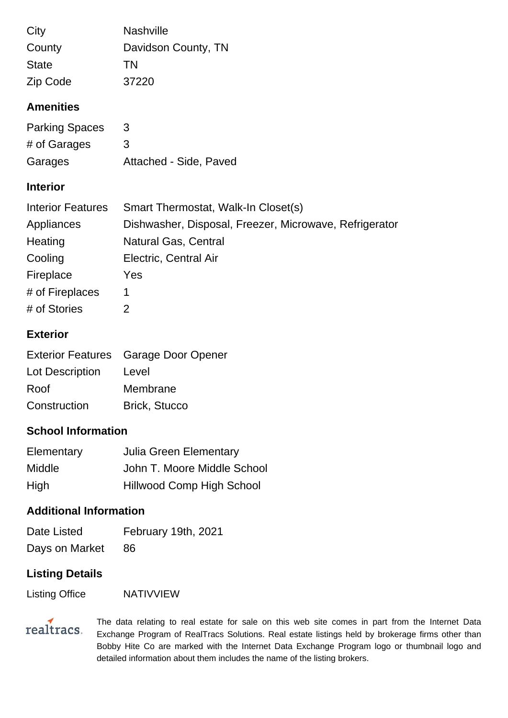| City         | <b>Nashville</b>    |
|--------------|---------------------|
| County       | Davidson County, TN |
| <b>State</b> | TN                  |
| Zip Code     | 37220               |

## **Amenities**

| <b>Parking Spaces</b> | 3                      |
|-----------------------|------------------------|
| # of Garages          | 3                      |
| Garages               | Attached - Side, Paved |

## **Interior**

| <b>Interior Features</b> | Smart Thermostat, Walk-In Closet(s)                    |
|--------------------------|--------------------------------------------------------|
| Appliances               | Dishwasher, Disposal, Freezer, Microwave, Refrigerator |
| Heating                  | <b>Natural Gas, Central</b>                            |
| Cooling                  | Electric, Central Air                                  |
| Fireplace                | Yes                                                    |
| # of Fireplaces          | 1                                                      |
| # of Stories             | $\overline{2}$                                         |

## **Exterior**

|                 | Exterior Features Garage Door Opener |
|-----------------|--------------------------------------|
| Lot Description | Level                                |
| Roof            | Membrane                             |
| Construction    | <b>Brick, Stucco</b>                 |

# **School Information**

| Elementary | <b>Julia Green Elementary</b>    |
|------------|----------------------------------|
| Middle     | John T. Moore Middle School      |
| High       | <b>Hillwood Comp High School</b> |

#### **Additional Information**

| Date Listed    | February 19th, 2021 |
|----------------|---------------------|
| Days on Market | -86                 |

# **Listing Details**

Listing Office NATIVVIEW



The data relating to real estate for sale on this web site comes in part from the Internet Data Exchange Program of RealTracs Solutions. Real estate listings held by brokerage firms other than Bobby Hite Co are marked with the Internet Data Exchange Program logo or thumbnail logo and detailed information about them includes the name of the listing brokers.